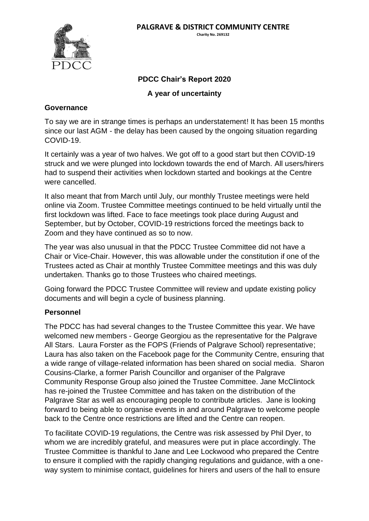

# **PDCC Chair's Report 2020**

**A year of uncertainty**

### **Governance**

To say we are in strange times is perhaps an understatement! It has been 15 months since our last AGM - the delay has been caused by the ongoing situation regarding COVID-19.

It certainly was a year of two halves. We got off to a good start but then COVID-19 struck and we were plunged into lockdown towards the end of March. All users/hirers had to suspend their activities when lockdown started and bookings at the Centre were cancelled.

It also meant that from March until July, our monthly Trustee meetings were held online via Zoom. Trustee Committee meetings continued to be held virtually until the first lockdown was lifted. Face to face meetings took place during August and September, but by October, COVID-19 restrictions forced the meetings back to Zoom and they have continued as so to now.

The year was also unusual in that the PDCC Trustee Committee did not have a Chair or Vice-Chair. However, this was allowable under the constitution if one of the Trustees acted as Chair at monthly Trustee Committee meetings and this was duly undertaken. Thanks go to those Trustees who chaired meetings.

Going forward the PDCC Trustee Committee will review and update existing policy documents and will begin a cycle of business planning.

#### **Personnel**

The PDCC has had several changes to the Trustee Committee this year. We have welcomed new members - George Georgiou as the representative for the Palgrave All Stars. Laura Forster as the FOPS (Friends of Palgrave School) representative; Laura has also taken on the Facebook page for the Community Centre, ensuring that a wide range of village-related information has been shared on social media. Sharon Cousins-Clarke, a former Parish Councillor and organiser of the Palgrave Community Response Group also joined the Trustee Committee. Jane McClintock has re-joined the Trustee Committee and has taken on the distribution of the Palgrave Star as well as encouraging people to contribute articles. Jane is looking forward to being able to organise events in and around Palgrave to welcome people back to the Centre once restrictions are lifted and the Centre can reopen.

To facilitate COVID-19 regulations, the Centre was risk assessed by Phil Dyer, to whom we are incredibly grateful, and measures were put in place accordingly. The Trustee Committee is thankful to Jane and Lee Lockwood who prepared the Centre to ensure it complied with the rapidly changing regulations and guidance, with a oneway system to minimise contact, guidelines for hirers and users of the hall to ensure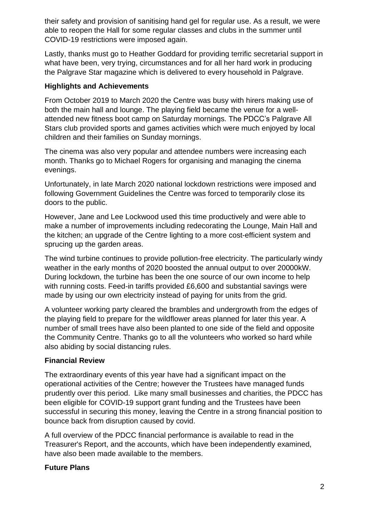their safety and provision of sanitising hand gel for regular use. As a result, we were able to reopen the Hall for some regular classes and clubs in the summer until COVID-19 restrictions were imposed again.

Lastly, thanks must go to Heather Goddard for providing terrific secretarial support in what have been, very trying, circumstances and for all her hard work in producing the Palgrave Star magazine which is delivered to every household in Palgrave.

### **Highlights and Achievements**

From October 2019 to March 2020 the Centre was busy with hirers making use of both the main hall and lounge. The playing field became the venue for a wellattended new fitness boot camp on Saturday mornings. The PDCC's Palgrave All Stars club provided sports and games activities which were much enjoyed by local children and their families on Sunday mornings.

The cinema was also very popular and attendee numbers were increasing each month. Thanks go to Michael Rogers for organising and managing the cinema evenings.

Unfortunately, in late March 2020 national lockdown restrictions were imposed and following Government Guidelines the Centre was forced to temporarily close its doors to the public.

However, Jane and Lee Lockwood used this time productively and were able to make a number of improvements including redecorating the Lounge, Main Hall and the kitchen; an upgrade of the Centre lighting to a more cost-efficient system and sprucing up the garden areas.

The wind turbine continues to provide pollution-free electricity. The particularly windy weather in the early months of 2020 boosted the annual output to over 20000kW. During lockdown, the turbine has been the one source of our own income to help with running costs. Feed-in tariffs provided £6,600 and substantial savings were made by using our own electricity instead of paying for units from the grid.

A volunteer working party cleared the brambles and undergrowth from the edges of the playing field to prepare for the wildflower areas planned for later this year. A number of small trees have also been planted to one side of the field and opposite the Community Centre. Thanks go to all the volunteers who worked so hard while also abiding by social distancing rules.

## **Financial Review**

The extraordinary events of this year have had a significant impact on the operational activities of the Centre; however the Trustees have managed funds prudently over this period. Like many small businesses and charities, the PDCC has been eligible for COVID-19 support grant funding and the Trustees have been successful in securing this money, leaving the Centre in a strong financial position to bounce back from disruption caused by covid.

A full overview of the PDCC financial performance is available to read in the Treasurer's Report, and the accounts, which have been independently examined, have also been made available to the members.

## **Future Plans**